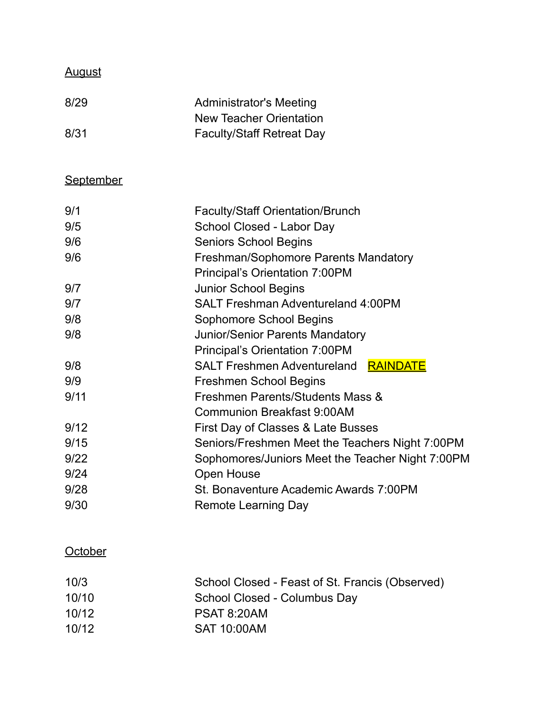## August

| 8/29 | <b>Administrator's Meeting</b>   |
|------|----------------------------------|
|      | New Teacher Orientation          |
| 8/31 | <b>Faculty/Staff Retreat Day</b> |

# **September**

| 9/1  | <b>Faculty/Staff Orientation/Brunch</b>          |
|------|--------------------------------------------------|
| 9/5  | School Closed - Labor Day                        |
| 9/6  | <b>Seniors School Begins</b>                     |
| 9/6  | Freshman/Sophomore Parents Mandatory             |
|      | Principal's Orientation 7:00PM                   |
| 9/7  | <b>Junior School Begins</b>                      |
| 9/7  | <b>SALT Freshman Adventureland 4:00PM</b>        |
| 9/8  | Sophomore School Begins                          |
| 9/8  | <b>Junior/Senior Parents Mandatory</b>           |
|      | Principal's Orientation 7:00PM                   |
| 9/8  | <b>SALT Freshmen Adventureland RAINDATE</b>      |
| 9/9  | Freshmen School Begins                           |
| 9/11 | Freshmen Parents/Students Mass &                 |
|      | <b>Communion Breakfast 9:00AM</b>                |
| 9/12 | First Day of Classes & Late Busses               |
| 9/15 | Seniors/Freshmen Meet the Teachers Night 7:00PM  |
| 9/22 | Sophomores/Juniors Meet the Teacher Night 7:00PM |
| 9/24 | <b>Open House</b>                                |
| 9/28 | St. Bonaventure Academic Awards 7:00PM           |
| 9/30 | <b>Remote Learning Day</b>                       |
|      |                                                  |

### **October**

| 10/3  | School Closed - Feast of St. Francis (Observed) |
|-------|-------------------------------------------------|
| 10/10 | School Closed - Columbus Day                    |
| 10/12 | <b>PSAT 8:20AM</b>                              |
| 10/12 | <b>SAT 10:00AM</b>                              |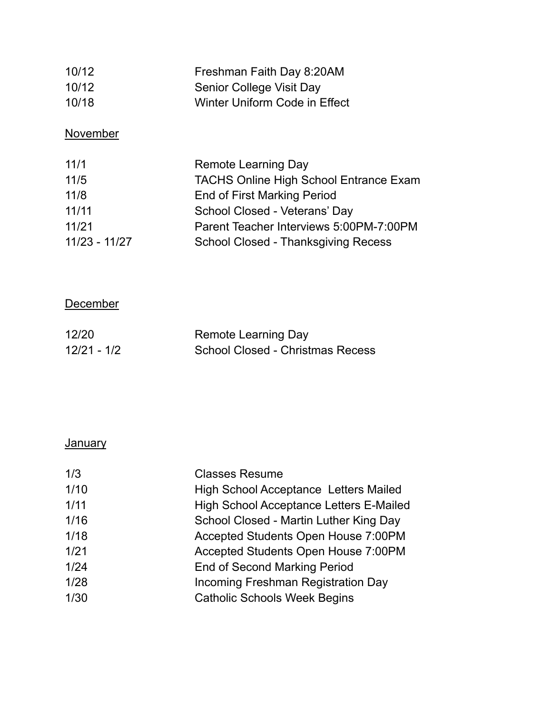| 10/12 | Freshman Faith Day 8:20AM     |
|-------|-------------------------------|
| 10/12 | Senior College Visit Day      |
| 10/18 | Winter Uniform Code in Effect |

### **November**

| 11/1            | Remote Learning Day                           |
|-----------------|-----------------------------------------------|
| 11/5            | <b>TACHS Online High School Entrance Exam</b> |
| 11/8            | End of First Marking Period                   |
| 11/11           | School Closed - Veterans' Day                 |
| 11/21           | Parent Teacher Interviews 5:00PM-7:00PM       |
| $11/23 - 11/27$ | School Closed - Thanksgiving Recess           |

### **December**

| 12/20       | Remote Learning Day                     |
|-------------|-----------------------------------------|
| 12/21 - 1/2 | <b>School Closed - Christmas Recess</b> |

## **January**

| 1/3  | <b>Classes Resume</b>                        |
|------|----------------------------------------------|
| 1/10 | <b>High School Acceptance Letters Mailed</b> |
| 1/11 | High School Acceptance Letters E-Mailed      |
| 1/16 | School Closed - Martin Luther King Day       |
| 1/18 | Accepted Students Open House 7:00PM          |
| 1/21 | Accepted Students Open House 7:00PM          |
| 1/24 | <b>End of Second Marking Period</b>          |
| 1/28 | Incoming Freshman Registration Day           |
| 1/30 | <b>Catholic Schools Week Begins</b>          |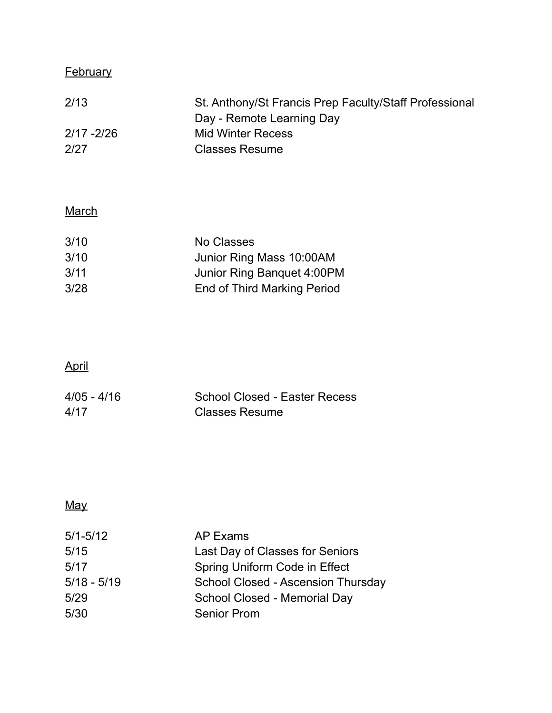## **February**

| 2/13          | St. Anthony/St Francis Prep Faculty/Staff Professional |
|---------------|--------------------------------------------------------|
|               | Day - Remote Learning Day                              |
| $2/17 - 2/26$ | Mid Winter Recess                                      |
| 2/27          | <b>Classes Resume</b>                                  |

## **March**

| 3/10 | No Classes                  |
|------|-----------------------------|
| 3/10 | Junior Ring Mass 10:00AM    |
| 3/11 | Junior Ring Banquet 4:00PM  |
| 3/28 | End of Third Marking Period |
|      |                             |

# April

| $4/05 - 4/16$ | School Closed - Easter Recess |
|---------------|-------------------------------|
| 4/17          | <b>Classes Resume</b>         |

# May

| AP Exams                           |
|------------------------------------|
| Last Day of Classes for Seniors    |
| Spring Uniform Code in Effect      |
| School Closed - Ascension Thursday |
| School Closed - Memorial Day       |
| <b>Senior Prom</b>                 |
|                                    |